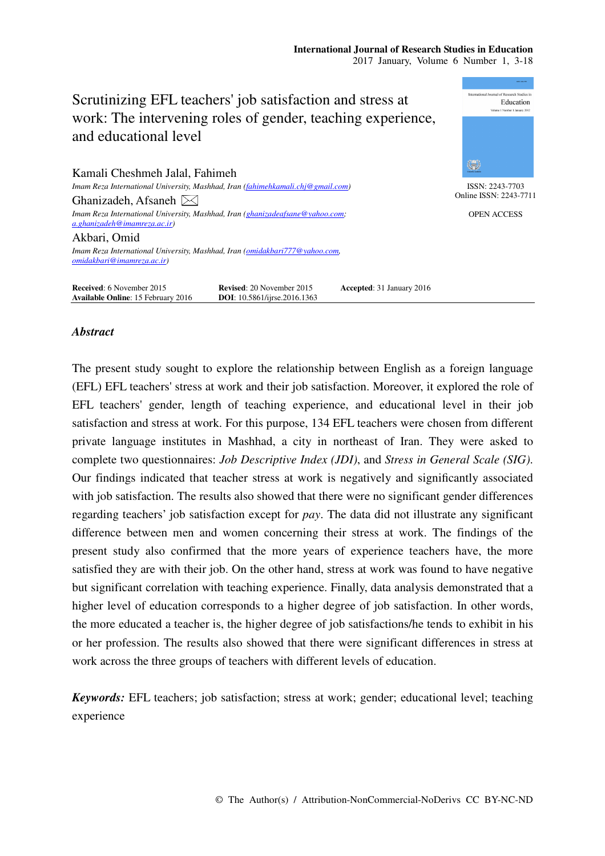# Scrutinizing EFL teachers' job satisfaction and stress at work: The intervening roles of gender, teaching experience, and educational level

Kamali Cheshmeh Jalal, Fahimeh *Imam Reza International University, Mashhad, Iran (fahimehkamali.chj@gmail.com)*  Ghanizadeh, Afsaneh  $\bowtie$ 

*Imam Reza International University, Mashhad, Iran (ghanizadeafsane@yahoo.com; a.ghanizadeh@imamreza.ac.ir)* 

Akbari, Omid

*Imam Reza International University, Mashhad, Iran (omidakbari777@yahoo.com, omidakbari@imamreza.ac.ir)* 

**Received:** 6 November 2015 **Revised:** 20 November 2015 **Accepted:** 31 January 2016<br> **Available Online:** 15 February 2016 **DOI:** 10.5861/ijrse.2016.1363 **Available Online**: 15 February 2016

## *Abstract*

The present study sought to explore the relationship between English as a foreign language (EFL) EFL teachers' stress at work and their job satisfaction. Moreover, it explored the role of EFL teachers' gender, length of teaching experience, and educational level in their job satisfaction and stress at work. For this purpose, 134 EFL teachers were chosen from different private language institutes in Mashhad, a city in northeast of Iran. They were asked to complete two questionnaires: *Job Descriptive Index (JDI)*, and *Stress in General Scale (SIG)*. Our findings indicated that teacher stress at work is negatively and significantly associated with job satisfaction. The results also showed that there were no significant gender differences regarding teachers' job satisfaction except for *pay*. The data did not illustrate any significant difference between men and women concerning their stress at work. The findings of the present study also confirmed that the more years of experience teachers have, the more satisfied they are with their job. On the other hand, stress at work was found to have negative but significant correlation with teaching experience. Finally, data analysis demonstrated that a higher level of education corresponds to a higher degree of job satisfaction. In other words, the more educated a teacher is, the higher degree of job satisfactions/he tends to exhibit in his or her profession. The results also showed that there were significant differences in stress at work across the three groups of teachers with different levels of education.

*Keywords:* EFL teachers; job satisfaction; stress at work; gender; educational level; teaching experience



ISSN: 2243-7703 Online ISSN: 2243-7711

OPEN ACCESS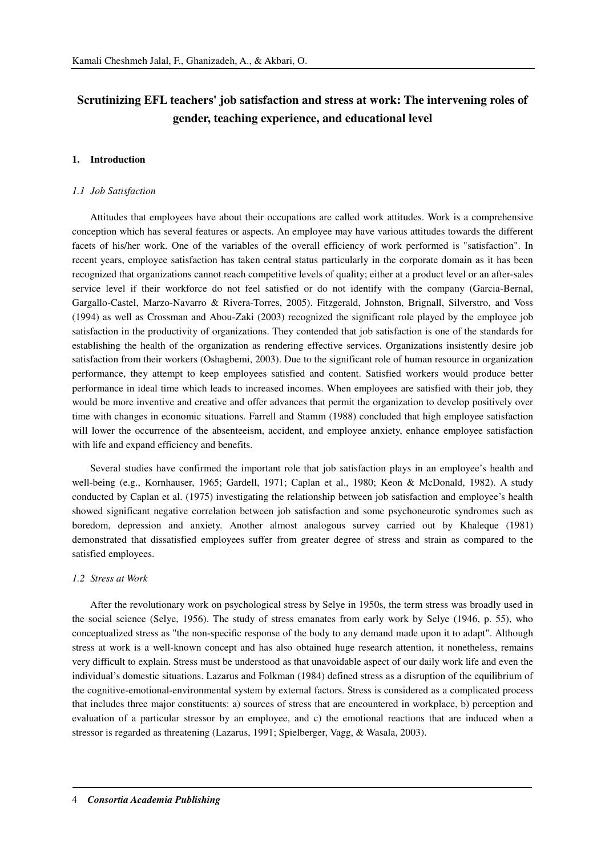## **Scrutinizing EFL teachers' job satisfaction and stress at work: The intervening roles of gender, teaching experience, and educational level**

## **1. Introduction**

#### *1.1 Job Satisfaction*

Attitudes that employees have about their occupations are called work attitudes. Work is a comprehensive conception which has several features or aspects. An employee may have various attitudes towards the different facets of his/her work. One of the variables of the overall efficiency of work performed is "satisfaction". In recent years, employee satisfaction has taken central status particularly in the corporate domain as it has been recognized that organizations cannot reach competitive levels of quality; either at a product level or an after-sales service level if their workforce do not feel satisfied or do not identify with the company (Garcia-Bernal, Gargallo-Castel, Marzo-Navarro & Rivera-Torres, 2005). Fitzgerald, Johnston, Brignall, Silverstro, and Voss (1994) as well as Crossman and Abou-Zaki (2003) recognized the significant role played by the employee job satisfaction in the productivity of organizations. They contended that job satisfaction is one of the standards for establishing the health of the organization as rendering effective services. Organizations insistently desire job satisfaction from their workers (Oshagbemi, 2003). Due to the significant role of human resource in organization performance, they attempt to keep employees satisfied and content. Satisfied workers would produce better performance in ideal time which leads to increased incomes. When employees are satisfied with their job, they would be more inventive and creative and offer advances that permit the organization to develop positively over time with changes in economic situations. Farrell and Stamm (1988) concluded that high employee satisfaction will lower the occurrence of the absenteeism, accident, and employee anxiety, enhance employee satisfaction with life and expand efficiency and benefits.

Several studies have confirmed the important role that job satisfaction plays in an employee's health and well-being (e.g., Kornhauser, 1965; Gardell, 1971; Caplan et al., 1980; Keon & McDonald, 1982). A study conducted by Caplan et al. (1975) investigating the relationship between job satisfaction and employee's health showed significant negative correlation between job satisfaction and some psychoneurotic syndromes such as boredom, depression and anxiety. Another almost analogous survey carried out by Khaleque (1981) demonstrated that dissatisfied employees suffer from greater degree of stress and strain as compared to the satisfied employees.

#### *1.2 Stress at Work*

After the revolutionary work on psychological stress by Selye in 1950s, the term stress was broadly used in the social science (Selye, 1956). The study of stress emanates from early work by Selye (1946, p. 55), who conceptualized stress as "the non-specific response of the body to any demand made upon it to adapt". Although stress at work is a well-known concept and has also obtained huge research attention, it nonetheless, remains very difficult to explain. Stress must be understood as that unavoidable aspect of our daily work life and even the individual's domestic situations. Lazarus and Folkman (1984) defined stress as a disruption of the equilibrium of the cognitive-emotional-environmental system by external factors. Stress is considered as a complicated process that includes three major constituents: a) sources of stress that are encountered in workplace, b) perception and evaluation of a particular stressor by an employee, and c) the emotional reactions that are induced when a stressor is regarded as threatening (Lazarus, 1991; Spielberger, Vagg, & Wasala, 2003).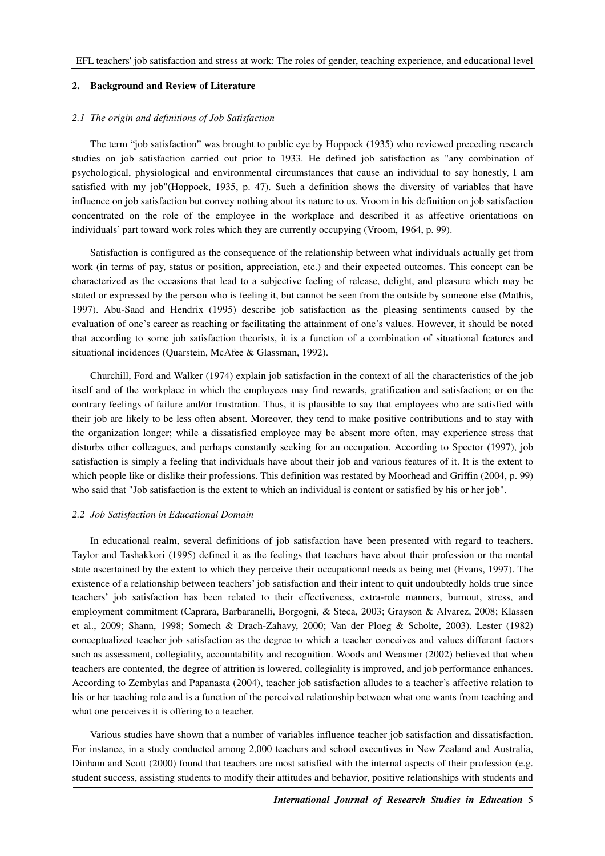## **2. Background and Review of Literature**

#### *2.1 The origin and definitions of Job Satisfaction*

The term "job satisfaction" was brought to public eye by Hoppock (1935) who reviewed preceding research studies on job satisfaction carried out prior to 1933. He defined job satisfaction as "any combination of psychological, physiological and environmental circumstances that cause an individual to say honestly, I am satisfied with my job"(Hoppock, 1935, p. 47). Such a definition shows the diversity of variables that have influence on job satisfaction but convey nothing about its nature to us. Vroom in his definition on job satisfaction concentrated on the role of the employee in the workplace and described it as affective orientations on individuals' part toward work roles which they are currently occupying (Vroom, 1964, p. 99).

Satisfaction is configured as the consequence of the relationship between what individuals actually get from work (in terms of pay, status or position, appreciation, etc.) and their expected outcomes. This concept can be characterized as the occasions that lead to a subjective feeling of release, delight, and pleasure which may be stated or expressed by the person who is feeling it, but cannot be seen from the outside by someone else (Mathis, 1997). Abu-Saad and Hendrix (1995) describe job satisfaction as the pleasing sentiments caused by the evaluation of one's career as reaching or facilitating the attainment of one's values. However, it should be noted that according to some job satisfaction theorists, it is a function of a combination of situational features and situational incidences (Quarstein, McAfee & Glassman, 1992).

Churchill, Ford and Walker (1974) explain job satisfaction in the context of all the characteristics of the job itself and of the workplace in which the employees may find rewards, gratification and satisfaction; or on the contrary feelings of failure and/or frustration. Thus, it is plausible to say that employees who are satisfied with their job are likely to be less often absent. Moreover, they tend to make positive contributions and to stay with the organization longer; while a dissatisfied employee may be absent more often, may experience stress that disturbs other colleagues, and perhaps constantly seeking for an occupation. According to Spector (1997), job satisfaction is simply a feeling that individuals have about their job and various features of it. It is the extent to which people like or dislike their professions. This definition was restated by Moorhead and Griffin (2004, p. 99) who said that "Job satisfaction is the extent to which an individual is content or satisfied by his or her job".

#### *2.2 Job Satisfaction in Educational Domain*

In educational realm, several definitions of job satisfaction have been presented with regard to teachers. Taylor and Tashakkori (1995) defined it as the feelings that teachers have about their profession or the mental state ascertained by the extent to which they perceive their occupational needs as being met (Evans, 1997). The existence of a relationship between teachers' job satisfaction and their intent to quit undoubtedly holds true since teachers' job satisfaction has been related to their effectiveness, extra-role manners, burnout, stress, and employment commitment (Caprara, Barbaranelli, Borgogni, & Steca, 2003; Grayson & Alvarez, 2008; Klassen et al., 2009; Shann, 1998; Somech & Drach-Zahavy, 2000; Van der Ploeg & Scholte, 2003). Lester (1982) conceptualized teacher job satisfaction as the degree to which a teacher conceives and values different factors such as assessment, collegiality, accountability and recognition. Woods and Weasmer (2002) believed that when teachers are contented, the degree of attrition is lowered, collegiality is improved, and job performance enhances. According to Zembylas and Papanasta (2004), teacher job satisfaction alludes to a teacher's affective relation to his or her teaching role and is a function of the perceived relationship between what one wants from teaching and what one perceives it is offering to a teacher.

Various studies have shown that a number of variables influence teacher job satisfaction and dissatisfaction. For instance, in a study conducted among 2,000 teachers and school executives in New Zealand and Australia, Dinham and Scott (2000) found that teachers are most satisfied with the internal aspects of their profession (e.g. student success, assisting students to modify their attitudes and behavior, positive relationships with students and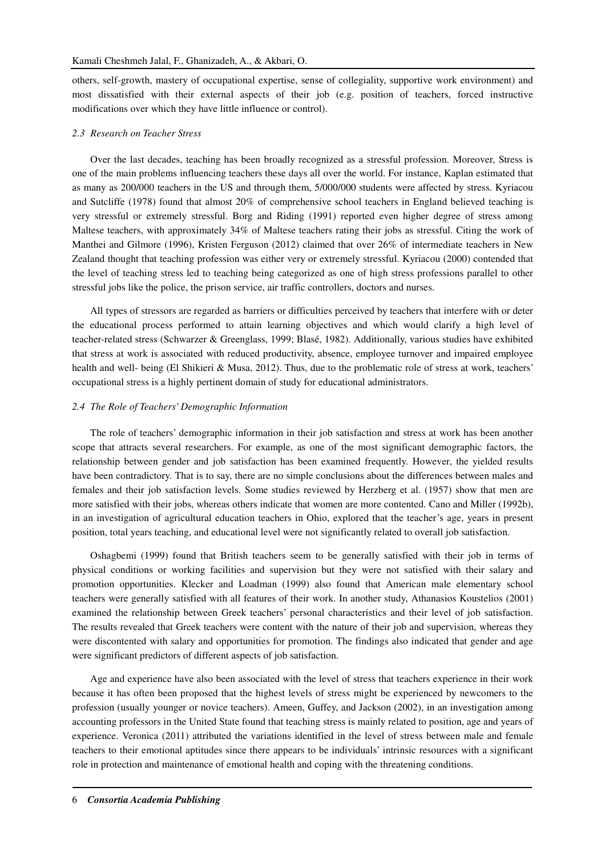others, self-growth, mastery of occupational expertise, sense of collegiality, supportive work environment) and most dissatisfied with their external aspects of their job (e.g. position of teachers, forced instructive modifications over which they have little influence or control).

## *2.3 Research on Teacher Stress*

Over the last decades, teaching has been broadly recognized as a stressful profession. Moreover, Stress is one of the main problems influencing teachers these days all over the world. For instance, Kaplan estimated that as many as 200/000 teachers in the US and through them, 5/000/000 students were affected by stress. Kyriacou and Sutcliffe (1978) found that almost 20% of comprehensive school teachers in England believed teaching is very stressful or extremely stressful. Borg and Riding (1991) reported even higher degree of stress among Maltese teachers, with approximately 34% of Maltese teachers rating their jobs as stressful. Citing the work of Manthei and Gilmore (1996), Kristen Ferguson (2012) claimed that over 26% of intermediate teachers in New Zealand thought that teaching profession was either very or extremely stressful. Kyriacou (2000) contended that the level of teaching stress led to teaching being categorized as one of high stress professions parallel to other stressful jobs like the police, the prison service, air traffic controllers, doctors and nurses.

All types of stressors are regarded as barriers or difficulties perceived by teachers that interfere with or deter the educational process performed to attain learning objectives and which would clarify a high level of teacher-related stress (Schwarzer & Greenglass, 1999; Blasé, 1982). Additionally, various studies have exhibited that stress at work is associated with reduced productivity, absence, employee turnover and impaired employee health and well- being (El Shikieri & Musa, 2012). Thus, due to the problematic role of stress at work, teachers' occupational stress is a highly pertinent domain of study for educational administrators.

## *2.4 The Role of Teachers' Demographic Information*

The role of teachers' demographic information in their job satisfaction and stress at work has been another scope that attracts several researchers. For example, as one of the most significant demographic factors, the relationship between gender and job satisfaction has been examined frequently. However, the yielded results have been contradictory. That is to say, there are no simple conclusions about the differences between males and females and their job satisfaction levels. Some studies reviewed by Herzberg et al. (1957) show that men are more satisfied with their jobs, whereas others indicate that women are more contented. Cano and Miller (1992b), in an investigation of agricultural education teachers in Ohio, explored that the teacher's age, years in present position, total years teaching, and educational level were not significantly related to overall job satisfaction.

Oshagbemi (1999) found that British teachers seem to be generally satisfied with their job in terms of physical conditions or working facilities and supervision but they were not satisfied with their salary and promotion opportunities. Klecker and Loadman (1999) also found that American male elementary school teachers were generally satisfied with all features of their work. In another study, Athanasios Koustelios (2001) examined the relationship between Greek teachers' personal characteristics and their level of job satisfaction. The results revealed that Greek teachers were content with the nature of their job and supervision, whereas they were discontented with salary and opportunities for promotion. The findings also indicated that gender and age were significant predictors of different aspects of job satisfaction.

Age and experience have also been associated with the level of stress that teachers experience in their work because it has often been proposed that the highest levels of stress might be experienced by newcomers to the profession (usually younger or novice teachers). Ameen, Guffey, and Jackson (2002), in an investigation among accounting professors in the United State found that teaching stress is mainly related to position, age and years of experience. Veronica (2011) attributed the variations identified in the level of stress between male and female teachers to their emotional aptitudes since there appears to be individuals' intrinsic resources with a significant role in protection and maintenance of emotional health and coping with the threatening conditions.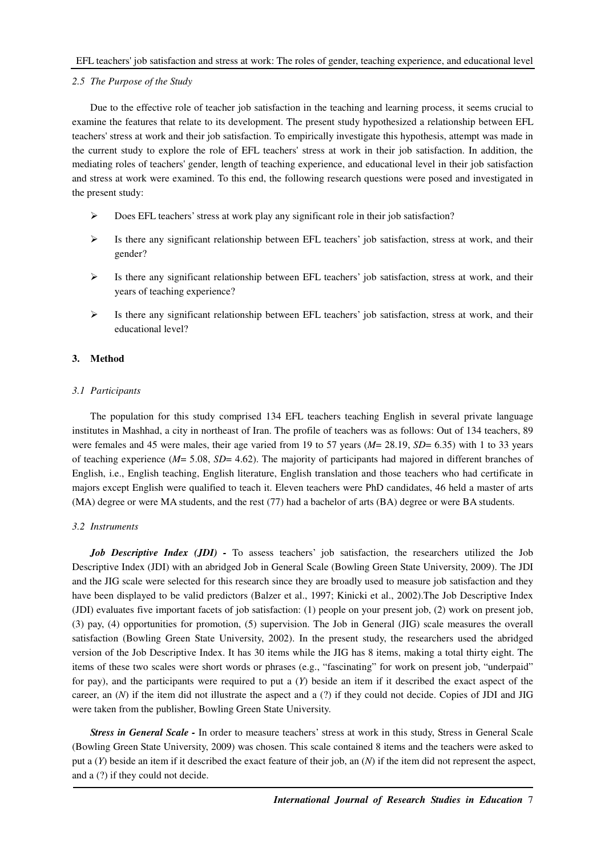#### *2.5 The Purpose of the Study*

Due to the effective role of teacher job satisfaction in the teaching and learning process, it seems crucial to examine the features that relate to its development. The present study hypothesized a relationship between EFL teachers' stress at work and their job satisfaction. To empirically investigate this hypothesis, attempt was made in the current study to explore the role of EFL teachers' stress at work in their job satisfaction. In addition, the mediating roles of teachers' gender, length of teaching experience, and educational level in their job satisfaction and stress at work were examined. To this end, the following research questions were posed and investigated in the present study:

- Does EFL teachers' stress at work play any significant role in their job satisfaction?
- $\triangleright$  Is there any significant relationship between EFL teachers' job satisfaction, stress at work, and their gender?
- $\triangleright$  Is there any significant relationship between EFL teachers' job satisfaction, stress at work, and their years of teaching experience?
- $\triangleright$  Is there any significant relationship between EFL teachers' job satisfaction, stress at work, and their educational level?

## **3. Method**

## *3.1 Participants*

The population for this study comprised 134 EFL teachers teaching English in several private language institutes in Mashhad, a city in northeast of Iran. The profile of teachers was as follows: Out of 134 teachers, 89 were females and 45 were males, their age varied from 19 to 57 years ( $M = 28.19$ ,  $SD = 6.35$ ) with 1 to 33 years of teaching experience (*M*= 5.08, *SD*= 4.62). The majority of participants had majored in different branches of English, i.e., English teaching, English literature, English translation and those teachers who had certificate in majors except English were qualified to teach it. Eleven teachers were PhD candidates, 46 held a master of arts (MA) degree or were MA students, and the rest (77) had a bachelor of arts (BA) degree or were BA students.

#### *3.2 Instruments*

*Job Descriptive Index (JDI)* - To assess teachers' job satisfaction, the researchers utilized the Job Descriptive Index (JDI) with an abridged Job in General Scale (Bowling Green State University, 2009). The JDI and the JIG scale were selected for this research since they are broadly used to measure job satisfaction and they have been displayed to be valid predictors (Balzer et al., 1997; Kinicki et al., 2002).The Job Descriptive Index (JDI) evaluates five important facets of job satisfaction: (1) people on your present job, (2) work on present job, (3) pay, (4) opportunities for promotion, (5) supervision. The Job in General (JIG) scale measures the overall satisfaction (Bowling Green State University, 2002). In the present study, the researchers used the abridged version of the Job Descriptive Index. It has 30 items while the JIG has 8 items, making a total thirty eight. The items of these two scales were short words or phrases (e.g., "fascinating" for work on present job, "underpaid" for pay), and the participants were required to put a (*Y*) beside an item if it described the exact aspect of the career, an (*N*) if the item did not illustrate the aspect and a (?) if they could not decide. Copies of JDI and JIG were taken from the publisher, Bowling Green State University.

*Stress in General Scale -* In order to measure teachers' stress at work in this study, Stress in General Scale (Bowling Green State University, 2009) was chosen. This scale contained 8 items and the teachers were asked to put a (*Y*) beside an item if it described the exact feature of their job, an (*N*) if the item did not represent the aspect, and a (?) if they could not decide.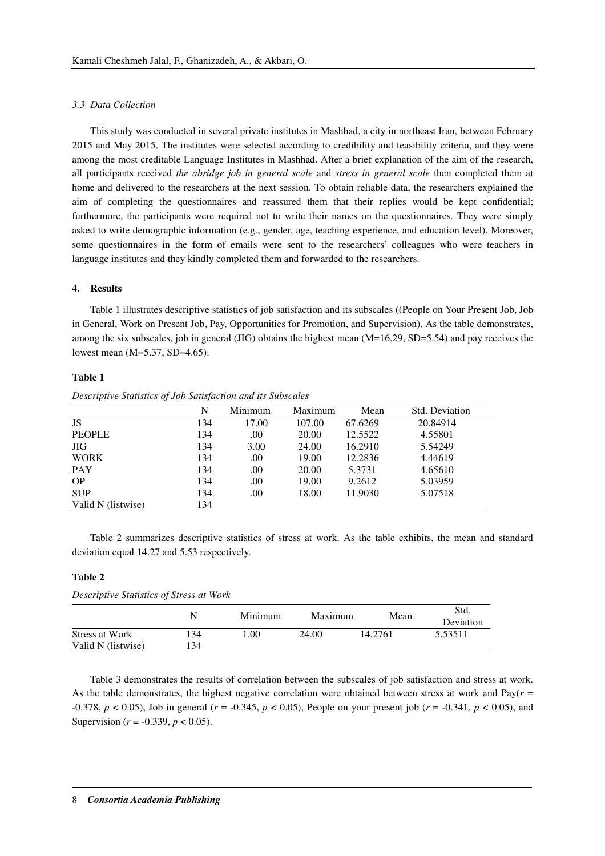#### *3.3 Data Collection*

This study was conducted in several private institutes in Mashhad, a city in northeast Iran, between February 2015 and May 2015. The institutes were selected according to credibility and feasibility criteria, and they were among the most creditable Language Institutes in Mashhad. After a brief explanation of the aim of the research, all participants received *the abridge job in general scale* and *stress in general scale* then completed them at home and delivered to the researchers at the next session. To obtain reliable data, the researchers explained the aim of completing the questionnaires and reassured them that their replies would be kept confidential; furthermore, the participants were required not to write their names on the questionnaires. They were simply asked to write demographic information (e.g., gender, age, teaching experience, and education level). Moreover, some questionnaires in the form of emails were sent to the researchers' colleagues who were teachers in language institutes and they kindly completed them and forwarded to the researchers.

## **4. Results**

Table 1 illustrates descriptive statistics of job satisfaction and its subscales ((People on Your Present Job, Job in General, Work on Present Job, Pay, Opportunities for Promotion, and Supervision). As the table demonstrates, among the six subscales, job in general (JIG) obtains the highest mean (M=16.29, SD=5.54) and pay receives the lowest mean (M=5.37, SD=4.65).

## **Table 1**

|                    | N   | Minimum | Maximum | Mean    | Std. Deviation |
|--------------------|-----|---------|---------|---------|----------------|
| <b>JS</b>          | 134 | 17.00   | 107.00  | 67.6269 | 20.84914       |
| <b>PEOPLE</b>      | 134 | .00     | 20.00   | 12.5522 | 4.55801        |
| <b>JIG</b>         | 134 | 3.00    | 24.00   | 16.2910 | 5.54249        |
| <b>WORK</b>        | 134 | .00     | 19.00   | 12.2836 | 4.44619        |
| <b>PAY</b>         | 134 | .00     | 20.00   | 5.3731  | 4.65610        |
| <b>OP</b>          | 134 | .00     | 19.00   | 9.2612  | 5.03959        |
| <b>SUP</b>         | 134 | .00     | 18.00   | 11.9030 | 5.07518        |
| Valid N (listwise) | 134 |         |         |         |                |

*Descriptive Statistics of Job Satisfaction and its Subscales* 

Table 2 summarizes descriptive statistics of stress at work. As the table exhibits, the mean and standard deviation equal 14.27 and 5.53 respectively.

## **Table 2**

| <i>Descriptive Statistics of Stress at Work</i> |     |         |         |         |                   |  |  |  |
|-------------------------------------------------|-----|---------|---------|---------|-------------------|--|--|--|
|                                                 | N   | Minimum | Maximum | Mean    | Std.<br>Deviation |  |  |  |
| Stress at Work                                  | 134 | L.OO    | 24.00   | 14.2761 | 5.53511           |  |  |  |
| Valid N (listwise)                              | 134 |         |         |         |                   |  |  |  |

Table 3 demonstrates the results of correlation between the subscales of job satisfaction and stress at work. As the table demonstrates, the highest negative correlation were obtained between stress at work and  $Pay(r =$ -0.378, *p* < 0.05), Job in general (*r* = -0.345, *p* < 0.05), People on your present job (*r* = -0.341, *p* < 0.05), and Supervision (*r* = -0.339, *p* < 0.05).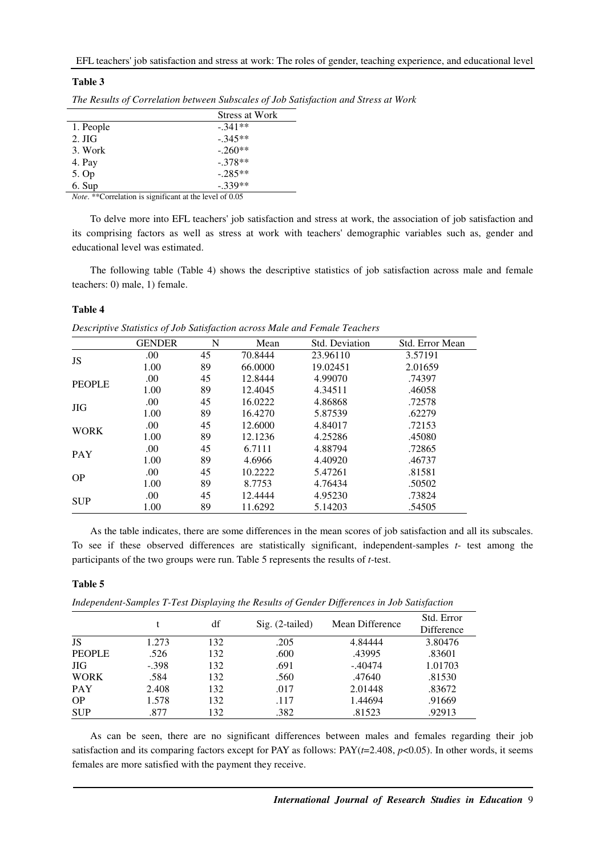## **Table 3**

|                  | Stress at Work |
|------------------|----------------|
| 1. People        | $-.341**$      |
| $2. \text{ JIG}$ | $-.345**$      |
| 3. Work          | $-.260**$      |
| 4. Pay           | $-.378**$      |
| 5. Op            | $-.285**$      |
| 6. Sup           | $-.339**$      |

*The Results of Correlation between Subscales of Job Satisfaction and Stress at Work* 

*Note*. \*\*Correlation is significant at the level of 0.05

To delve more into EFL teachers' job satisfaction and stress at work, the association of job satisfaction and its comprising factors as well as stress at work with teachers' demographic variables such as, gender and educational level was estimated.

The following table (Table 4) shows the descriptive statistics of job satisfaction across male and female teachers: 0) male, 1) female.

## **Table 4**

*Descriptive Statistics of Job Satisfaction across Male and Female Teachers* 

|               | <b>GENDER</b> | N  | Mean    | Std. Deviation | Std. Error Mean |
|---------------|---------------|----|---------|----------------|-----------------|
| JS            | .00           | 45 | 70.8444 | 23.96110       | 3.57191         |
|               | 1.00          | 89 | 66.0000 | 19.02451       | 2.01659         |
|               | .00           | 45 | 12.8444 | 4.99070        | .74397          |
| <b>PEOPLE</b> | 1.00          | 89 | 12.4045 | 4.34511        | .46058          |
| <b>JIG</b>    | .00           | 45 | 16.0222 | 4.86868        | .72578          |
|               | 1.00          | 89 | 16.4270 | 5.87539        | .62279          |
|               | .00           | 45 | 12.6000 | 4.84017        | .72153          |
| <b>WORK</b>   | 1.00          | 89 | 12.1236 | 4.25286        | .45080          |
| <b>PAY</b>    | .00           | 45 | 6.7111  | 4.88794        | .72865          |
|               | 1.00          | 89 | 4.6966  | 4.40920        | .46737          |
| <b>OP</b>     | .00           | 45 | 10.2222 | 5.47261        | .81581          |
|               | 1.00          | 89 | 8.7753  | 4.76434        | .50502          |
| <b>SUP</b>    | .00           | 45 | 12.4444 | 4.95230        | .73824          |
|               | 1.00          | 89 | 11.6292 | 5.14203        | .54505          |

As the table indicates, there are some differences in the mean scores of job satisfaction and all its subscales. To see if these observed differences are statistically significant, independent-samples *t*- test among the participants of the two groups were run. Table 5 represents the results of *t*-test.

## **Table 5**

*Independent-Samples T-Test Displaying the Results of Gender Differences in Job Satisfaction* 

|               |         | df  | Sig. (2-tailed) | Mean Difference | Std. Error<br>Difference |
|---------------|---------|-----|-----------------|-----------------|--------------------------|
| JS            | 1.273   | 132 | .205            | 4.84444         | 3.80476                  |
| <b>PEOPLE</b> | .526    | 132 | .600            | .43995          | .83601                   |
| <b>JIG</b>    | $-.398$ | 132 | .691            | $-.40474$       | 1.01703                  |
| <b>WORK</b>   | .584    | 132 | .560            | .47640          | .81530                   |
| <b>PAY</b>    | 2.408   | 132 | .017            | 2.01448         | .83672                   |
| <b>OP</b>     | 1.578   | 132 | .117            | 1.44694         | .91669                   |
| <b>SUP</b>    | .877    | 132 | .382            | .81523          | .92913                   |

As can be seen, there are no significant differences between males and females regarding their job satisfaction and its comparing factors except for PAY as follows:  $PAY(t=2.408, p<0.05)$ . In other words, it seems females are more satisfied with the payment they receive.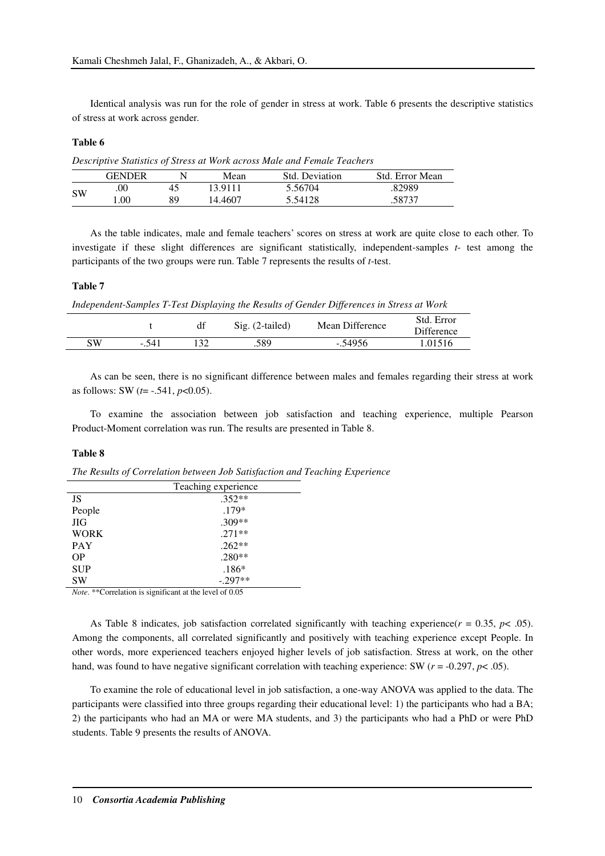Identical analysis was run for the role of gender in stress at work. Table 6 presents the descriptive statistics of stress at work across gender.

## **Table 6**

*Descriptive Statistics of Stress at Work across Male and Female Teachers* 

|           | GENDER |    | Mean    | Std. Deviation | Std. Error Mean |
|-----------|--------|----|---------|----------------|-----------------|
|           | .00    | 45 | 13.9111 | 5.56704        | .82989          |
| <b>SW</b> | .00    | 89 | 14.4607 | 5.54128        | .58737          |

As the table indicates, male and female teachers' scores on stress at work are quite close to each other. To investigate if these slight differences are significant statistically, independent-samples *t*- test among the participants of the two groups were run. Table 7 represents the results of *t*-test.

## **Table 7**

*Independent-Samples T-Test Displaying the Results of Gender Differences in Stress at Work* 

|    |       | df | $Sig. (2-tailed)$ | Mean Difference | Std. Error<br><b>Difference</b> |
|----|-------|----|-------------------|-----------------|---------------------------------|
| SW | -.541 |    | .589              | $-.54956$       | 1.01516                         |
|    |       |    |                   |                 |                                 |

As can be seen, there is no significant difference between males and females regarding their stress at work as follows: SW (*t*= -.541, *p*<0.05).

To examine the association between job satisfaction and teaching experience, multiple Pearson Product-Moment correlation was run. The results are presented in Table 8.

## **Table 8**

*The Results of Correlation between Job Satisfaction and Teaching Experience*

|             | Teaching experience |
|-------------|---------------------|
| JS          | $.352**$            |
| People      | $.179*$             |
| <b>JIG</b>  | $.309**$            |
| <b>WORK</b> | $.271**$            |
| <b>PAY</b>  | $.262**$            |
| OΡ          | $.280**$            |
| <b>SUP</b>  | $.186*$             |
| SW          | $-.297**$           |

*Note*. \*\*Correlation is significant at the level of 0.05

As Table 8 indicates, job satisfaction correlated significantly with teaching experience( $r = 0.35$ ,  $p < .05$ ). Among the components, all correlated significantly and positively with teaching experience except People. In other words, more experienced teachers enjoyed higher levels of job satisfaction. Stress at work, on the other hand, was found to have negative significant correlation with teaching experience: SW ( $r = -0.297$ ,  $p < .05$ ).

To examine the role of educational level in job satisfaction, a one-way ANOVA was applied to the data. The participants were classified into three groups regarding their educational level: 1) the participants who had a BA; 2) the participants who had an MA or were MA students, and 3) the participants who had a PhD or were PhD students. Table 9 presents the results of ANOVA.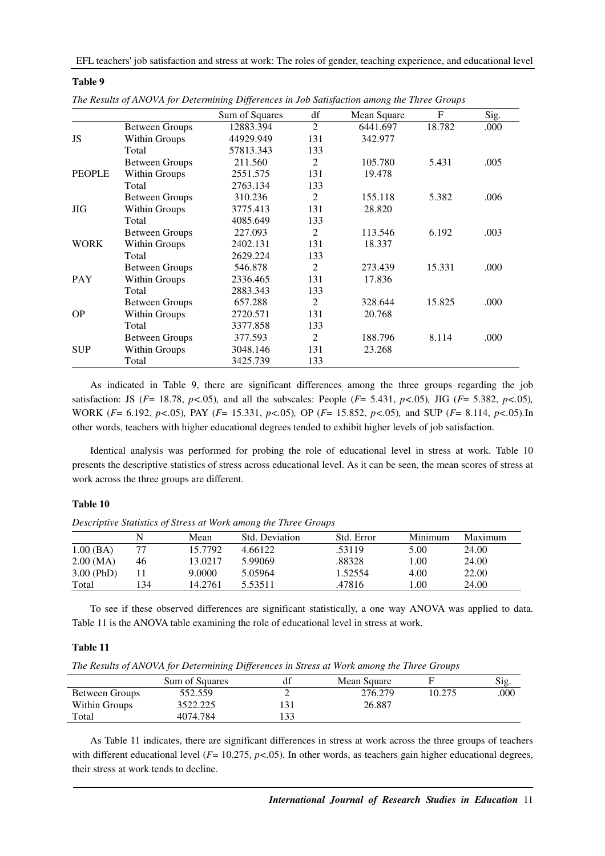EFL teachers' job satisfaction and stress at work: The roles of gender, teaching experience, and educational level

|               |                | Sum of Squares | df             | Mean Square | $\mathbf F$ | Sig. |
|---------------|----------------|----------------|----------------|-------------|-------------|------|
|               | Between Groups | 12883.394      | $\overline{2}$ | 6441.697    | 18.782      | .000 |
| JS            | Within Groups  | 44929.949      | 131            | 342.977     |             |      |
|               | Total          | 57813.343      | 133            |             |             |      |
|               | Between Groups | 211.560        | 2              | 105.780     | 5.431       | .005 |
| <b>PEOPLE</b> | Within Groups  | 2551.575       | 131            | 19.478      |             |      |
|               | Total          | 2763.134       | 133            |             |             |      |
|               | Between Groups | 310.236        | 2              | 155.118     | 5.382       | .006 |
| <b>JIG</b>    | Within Groups  | 3775.413       | 131            | 28.820      |             |      |
|               | Total          | 4085.649       | 133            |             |             |      |
|               | Between Groups | 227.093        | 2              | 113.546     | 6.192       | .003 |
| <b>WORK</b>   | Within Groups  | 2402.131       | 131            | 18.337      |             |      |
|               | Total          | 2629.224       | 133            |             |             |      |
|               | Between Groups | 546.878        | 2              | 273.439     | 15.331      | .000 |
| <b>PAY</b>    | Within Groups  | 2336.465       | 131            | 17.836      |             |      |
|               | Total          | 2883.343       | 133            |             |             |      |
|               | Between Groups | 657.288        | 2              | 328.644     | 15.825      | .000 |
| <b>OP</b>     | Within Groups  | 2720.571       | 131            | 20.768      |             |      |
|               | Total          | 3377.858       | 133            |             |             |      |
|               | Between Groups | 377.593        | 2              | 188.796     | 8.114       | .000 |
| <b>SUP</b>    | Within Groups  | 3048.146       | 131            | 23.268      |             |      |
|               | Total          | 3425.739       | 133            |             |             |      |

|  | The Results of ANOVA for Determining Differences in Job Satisfaction among the Three Groups |  |  |  |  |  |
|--|---------------------------------------------------------------------------------------------|--|--|--|--|--|
|--|---------------------------------------------------------------------------------------------|--|--|--|--|--|

As indicated in Table 9, there are significant differences among the three groups regarding the job satisfaction: JS ( $F = 18.78$ ,  $p < .05$ )*,* and all the subscales: People ( $F = 5.431$ ,  $p < .05$ )*,* JIG ( $F = 5.382$ ,  $p < .05$ )*,* WORK (*F*= 6.192, *p<.*05)*,* PAY (*F*= 15.331, *p<.*05)*,* OP (*F*= 15.852, *p<.*05)*,* and SUP (*F*= 8.114, *p<.*05)*.*In other words, teachers with higher educational degrees tended to exhibit higher levels of job satisfaction.

Identical analysis was performed for probing the role of educational level in stress at work. Table 10 presents the descriptive statistics of stress across educational level. As it can be seen, the mean scores of stress at work across the three groups are different.

## **Table 10**

**Table 9** 

*Descriptive Statistics of Stress at Work among the Three Groups* 

|              |     | Mean    | Std. Deviation | Std. Error | Minimum | Maximum |
|--------------|-----|---------|----------------|------------|---------|---------|
| 1.00(BA)     |     | 15.7792 | 4.66122        | .53119     | 5.00    | 24.00   |
| 2.00 (MA)    | 46  | 13.0217 | 5.99069        | .88328     | 1.00    | 24.00   |
| $3.00$ (PhD) |     | 9.0000  | 5.05964        | 1.52554    | 4.00    | 22.00   |
| Total        | 134 | 14.2761 | 5.53511        | .47816     | l.00    | 24.00   |

To see if these observed differences are significant statistically, a one way ANOVA was applied to data. Table 11 is the ANOVA table examining the role of educational level in stress at work.

## **Table 11**

*The Results of ANOVA for Determining Differences in Stress at Work among the Three Groups* 

|                | Sum of Squares | df  | Mean Square |        | Sig. |
|----------------|----------------|-----|-------------|--------|------|
| Between Groups | 552.559        |     | 276.279     | 10.275 | .000 |
| Within Groups  | 3522.225       |     | 26.887      |        |      |
| Total          | 4074.784       | 133 |             |        |      |

As Table 11 indicates, there are significant differences in stress at work across the three groups of teachers with different educational level ( $F= 10.275$ ,  $p < .05$ ). In other words, as teachers gain higher educational degrees, their stress at work tends to decline.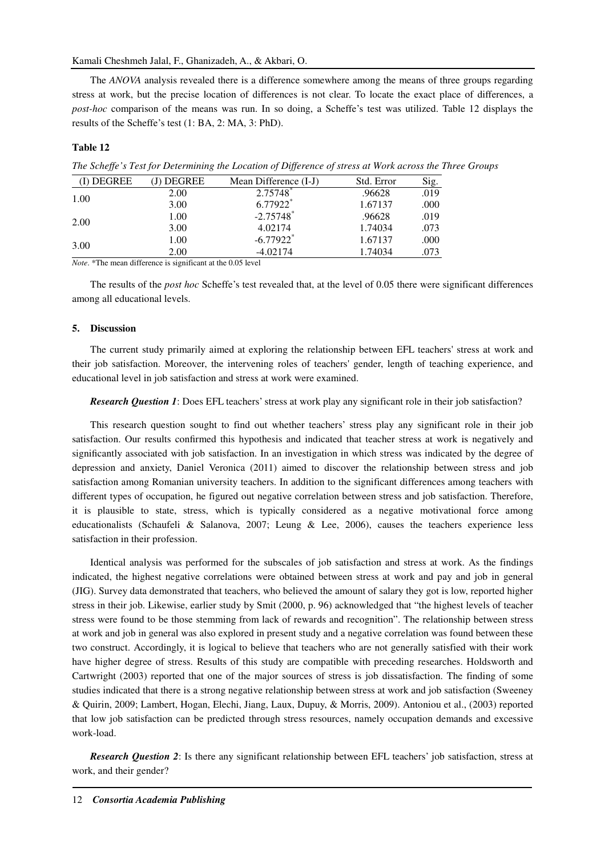## Kamali Cheshmeh Jalal, F., Ghanizadeh, A., & Akbari, O.

The *ANOVA* analysis revealed there is a difference somewhere among the means of three groups regarding stress at work, but the precise location of differences is not clear. To locate the exact place of differences, a *post-hoc* comparison of the means was run. In so doing, a Scheffe's test was utilized. Table 12 displays the results of the Scheffe's test (1: BA, 2: MA, 3: PhD).

## **Table 12**

*The Scheffe's Test for Determining the Location of Difference of stress at Work across the Three Groups* 

| (I) DEGREE | <b>DEGREE</b> | Mean Difference (I-J)   | Std. Error | Sig. |
|------------|---------------|-------------------------|------------|------|
| 1.00       | 2.00          | 2.75748                 | .96628     | .019 |
|            | 3.00          | 6.77922*                | 1.67137    | .000 |
| 2.00       | 1.00          | $-2.75748$ <sup>*</sup> | .96628     | .019 |
|            | 3.00          | 4.02174                 | 1.74034    | .073 |
| 3.00       | 1.00          | $-6.77922$ <sup>*</sup> | 1.67137    | .000 |
|            | 2.00          | $-4.02174$              | 1.74034    | .073 |
|            |               |                         |            |      |

*Note*. \*The mean difference is significant at the 0.05 level

The results of the *post hoc* Scheffe's test revealed that, at the level of 0.05 there were significant differences among all educational levels.

## **5. Discussion**

The current study primarily aimed at exploring the relationship between EFL teachers' stress at work and their job satisfaction. Moreover, the intervening roles of teachers' gender, length of teaching experience, and educational level in job satisfaction and stress at work were examined.

## *Research Question 1*: Does EFL teachers' stress at work play any significant role in their job satisfaction?

This research question sought to find out whether teachers' stress play any significant role in their job satisfaction. Our results confirmed this hypothesis and indicated that teacher stress at work is negatively and significantly associated with job satisfaction. In an investigation in which stress was indicated by the degree of depression and anxiety, Daniel Veronica (2011) aimed to discover the relationship between stress and job satisfaction among Romanian university teachers. In addition to the significant differences among teachers with different types of occupation, he figured out negative correlation between stress and job satisfaction. Therefore, it is plausible to state, stress, which is typically considered as a negative motivational force among educationalists (Schaufeli & Salanova, 2007; Leung & Lee, 2006), causes the teachers experience less satisfaction in their profession.

Identical analysis was performed for the subscales of job satisfaction and stress at work. As the findings indicated, the highest negative correlations were obtained between stress at work and pay and job in general (JIG). Survey data demonstrated that teachers, who believed the amount of salary they got is low, reported higher stress in their job. Likewise, earlier study by Smit (2000, p. 96) acknowledged that "the highest levels of teacher stress were found to be those stemming from lack of rewards and recognition". The relationship between stress at work and job in general was also explored in present study and a negative correlation was found between these two construct. Accordingly, it is logical to believe that teachers who are not generally satisfied with their work have higher degree of stress. Results of this study are compatible with preceding researches. Holdsworth and Cartwright (2003) reported that one of the major sources of stress is job dissatisfaction. The finding of some studies indicated that there is a strong negative relationship between stress at work and job satisfaction (Sweeney & Quirin, 2009; Lambert, Hogan, Elechi, Jiang, Laux, Dupuy, & Morris, 2009). Antoniou et al., (2003) reported that low job satisfaction can be predicted through stress resources, namely occupation demands and excessive work-load.

*Research Question 2*: Is there any significant relationship between EFL teachers' job satisfaction, stress at work, and their gender?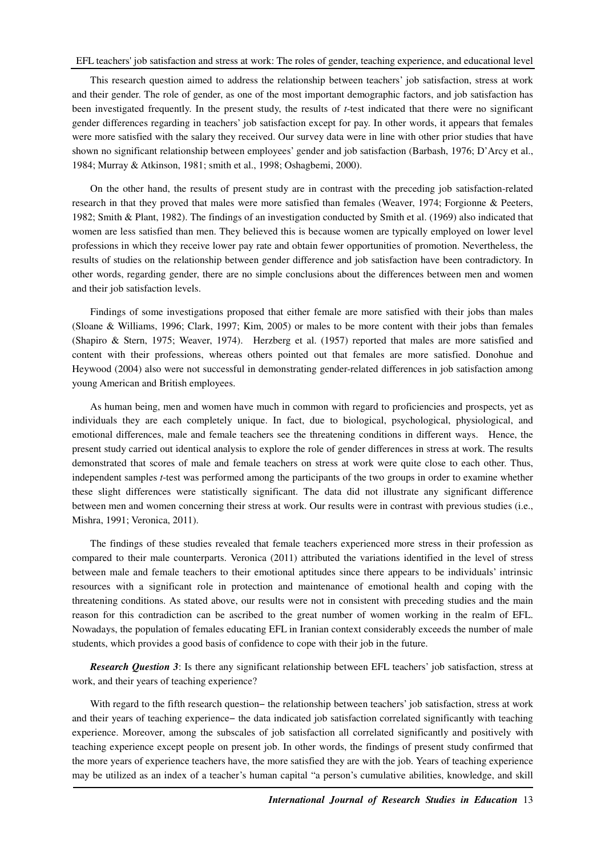This research question aimed to address the relationship between teachers' job satisfaction, stress at work and their gender. The role of gender, as one of the most important demographic factors, and job satisfaction has been investigated frequently. In the present study, the results of *t*-test indicated that there were no significant gender differences regarding in teachers' job satisfaction except for pay. In other words, it appears that females were more satisfied with the salary they received. Our survey data were in line with other prior studies that have shown no significant relationship between employees' gender and job satisfaction (Barbash, 1976; D'Arcy et al., 1984; Murray & Atkinson, 1981; smith et al., 1998; Oshagbemi, 2000).

On the other hand, the results of present study are in contrast with the preceding job satisfaction-related research in that they proved that males were more satisfied than females (Weaver, 1974; Forgionne & Peeters, 1982; Smith & Plant, 1982). The findings of an investigation conducted by Smith et al. (1969) also indicated that women are less satisfied than men. They believed this is because women are typically employed on lower level professions in which they receive lower pay rate and obtain fewer opportunities of promotion. Nevertheless, the results of studies on the relationship between gender difference and job satisfaction have been contradictory. In other words, regarding gender, there are no simple conclusions about the differences between men and women and their job satisfaction levels.

Findings of some investigations proposed that either female are more satisfied with their jobs than males (Sloane & Williams, 1996; Clark, 1997; Kim, 2005) or males to be more content with their jobs than females (Shapiro & Stern, 1975; Weaver, 1974). Herzberg et al. (1957) reported that males are more satisfied and content with their professions, whereas others pointed out that females are more satisfied. Donohue and Heywood (2004) also were not successful in demonstrating gender-related differences in job satisfaction among young American and British employees.

As human being, men and women have much in common with regard to proficiencies and prospects, yet as individuals they are each completely unique. In fact, due to biological, psychological, physiological, and emotional differences, male and female teachers see the threatening conditions in different ways. Hence, the present study carried out identical analysis to explore the role of gender differences in stress at work. The results demonstrated that scores of male and female teachers on stress at work were quite close to each other. Thus, independent samples *t*-test was performed among the participants of the two groups in order to examine whether these slight differences were statistically significant. The data did not illustrate any significant difference between men and women concerning their stress at work. Our results were in contrast with previous studies (i.e., Mishra, 1991; Veronica, 2011).

The findings of these studies revealed that female teachers experienced more stress in their profession as compared to their male counterparts. Veronica (2011) attributed the variations identified in the level of stress between male and female teachers to their emotional aptitudes since there appears to be individuals' intrinsic resources with a significant role in protection and maintenance of emotional health and coping with the threatening conditions. As stated above, our results were not in consistent with preceding studies and the main reason for this contradiction can be ascribed to the great number of women working in the realm of EFL. Nowadays, the population of females educating EFL in Iranian context considerably exceeds the number of male students, which provides a good basis of confidence to cope with their job in the future.

*Research Question 3*: Is there any significant relationship between EFL teachers' job satisfaction, stress at work, and their years of teaching experience?

With regard to the fifth research question− the relationship between teachers' job satisfaction, stress at work and their years of teaching experience− the data indicated job satisfaction correlated significantly with teaching experience. Moreover, among the subscales of job satisfaction all correlated significantly and positively with teaching experience except people on present job. In other words, the findings of present study confirmed that the more years of experience teachers have, the more satisfied they are with the job. Years of teaching experience may be utilized as an index of a teacher's human capital "a person's cumulative abilities, knowledge, and skill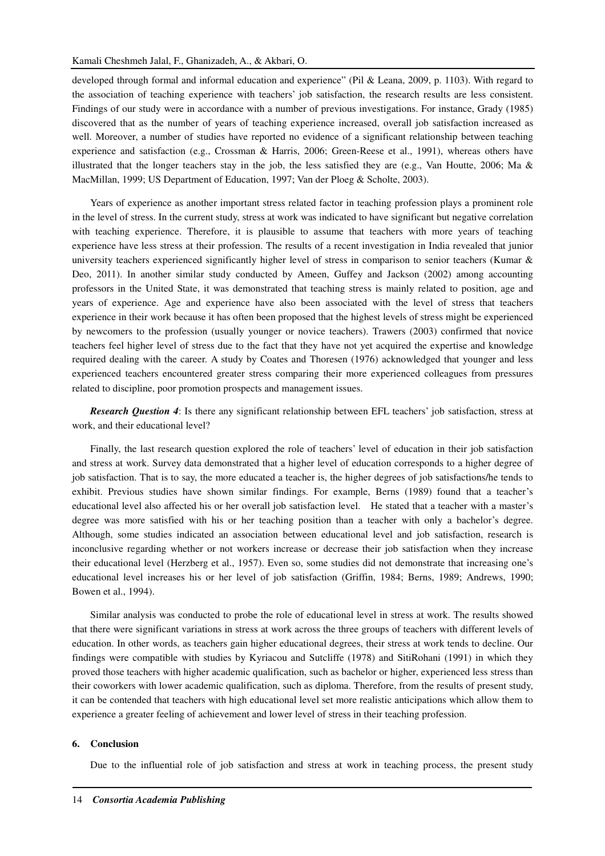developed through formal and informal education and experience" (Pil & Leana, 2009, p. 1103). With regard to the association of teaching experience with teachers' job satisfaction, the research results are less consistent. Findings of our study were in accordance with a number of previous investigations. For instance, Grady (1985) discovered that as the number of years of teaching experience increased, overall job satisfaction increased as well. Moreover, a number of studies have reported no evidence of a significant relationship between teaching experience and satisfaction (e.g., Crossman & Harris, 2006; Green-Reese et al., 1991), whereas others have illustrated that the longer teachers stay in the job, the less satisfied they are (e.g., Van Houtte, 2006; Ma  $\&$ MacMillan, 1999; US Department of Education, 1997; Van der Ploeg & Scholte, 2003).

Years of experience as another important stress related factor in teaching profession plays a prominent role in the level of stress. In the current study, stress at work was indicated to have significant but negative correlation with teaching experience. Therefore, it is plausible to assume that teachers with more years of teaching experience have less stress at their profession. The results of a recent investigation in India revealed that junior university teachers experienced significantly higher level of stress in comparison to senior teachers (Kumar & Deo, 2011). In another similar study conducted by Ameen, Guffey and Jackson (2002) among accounting professors in the United State, it was demonstrated that teaching stress is mainly related to position, age and years of experience. Age and experience have also been associated with the level of stress that teachers experience in their work because it has often been proposed that the highest levels of stress might be experienced by newcomers to the profession (usually younger or novice teachers). Trawers (2003) confirmed that novice teachers feel higher level of stress due to the fact that they have not yet acquired the expertise and knowledge required dealing with the career. A study by Coates and Thoresen (1976) acknowledged that younger and less experienced teachers encountered greater stress comparing their more experienced colleagues from pressures related to discipline, poor promotion prospects and management issues.

*Research Question 4*: Is there any significant relationship between EFL teachers' job satisfaction, stress at work, and their educational level?

Finally, the last research question explored the role of teachers' level of education in their job satisfaction and stress at work. Survey data demonstrated that a higher level of education corresponds to a higher degree of job satisfaction. That is to say, the more educated a teacher is, the higher degrees of job satisfactions/he tends to exhibit. Previous studies have shown similar findings. For example, Berns (1989) found that a teacher's educational level also affected his or her overall job satisfaction level. He stated that a teacher with a master's degree was more satisfied with his or her teaching position than a teacher with only a bachelor's degree. Although, some studies indicated an association between educational level and job satisfaction, research is inconclusive regarding whether or not workers increase or decrease their job satisfaction when they increase their educational level (Herzberg et al., 1957). Even so, some studies did not demonstrate that increasing one's educational level increases his or her level of job satisfaction (Griffin, 1984; Berns, 1989; Andrews, 1990; Bowen et al., 1994).

Similar analysis was conducted to probe the role of educational level in stress at work. The results showed that there were significant variations in stress at work across the three groups of teachers with different levels of education. In other words, as teachers gain higher educational degrees, their stress at work tends to decline. Our findings were compatible with studies by Kyriacou and Sutcliffe (1978) and SitiRohani (1991) in which they proved those teachers with higher academic qualification, such as bachelor or higher, experienced less stress than their coworkers with lower academic qualification, such as diploma. Therefore, from the results of present study, it can be contended that teachers with high educational level set more realistic anticipations which allow them to experience a greater feeling of achievement and lower level of stress in their teaching profession.

#### **6. Conclusion**

Due to the influential role of job satisfaction and stress at work in teaching process, the present study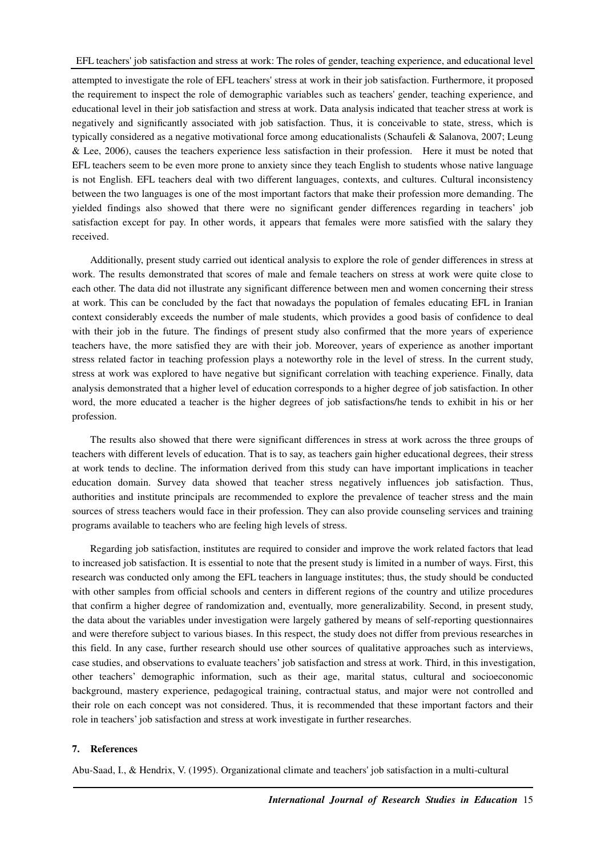EFL teachers' job satisfaction and stress at work: The roles of gender, teaching experience, and educational level

attempted to investigate the role of EFL teachers' stress at work in their job satisfaction. Furthermore, it proposed the requirement to inspect the role of demographic variables such as teachers' gender, teaching experience, and educational level in their job satisfaction and stress at work. Data analysis indicated that teacher stress at work is negatively and significantly associated with job satisfaction. Thus, it is conceivable to state, stress, which is typically considered as a negative motivational force among educationalists (Schaufeli & Salanova, 2007; Leung & Lee, 2006), causes the teachers experience less satisfaction in their profession. Here it must be noted that EFL teachers seem to be even more prone to anxiety since they teach English to students whose native language is not English. EFL teachers deal with two different languages, contexts, and cultures. Cultural inconsistency between the two languages is one of the most important factors that make their profession more demanding. The yielded findings also showed that there were no significant gender differences regarding in teachers' job satisfaction except for pay. In other words, it appears that females were more satisfied with the salary they received.

Additionally, present study carried out identical analysis to explore the role of gender differences in stress at work. The results demonstrated that scores of male and female teachers on stress at work were quite close to each other. The data did not illustrate any significant difference between men and women concerning their stress at work. This can be concluded by the fact that nowadays the population of females educating EFL in Iranian context considerably exceeds the number of male students, which provides a good basis of confidence to deal with their job in the future. The findings of present study also confirmed that the more years of experience teachers have, the more satisfied they are with their job. Moreover, years of experience as another important stress related factor in teaching profession plays a noteworthy role in the level of stress. In the current study, stress at work was explored to have negative but significant correlation with teaching experience. Finally, data analysis demonstrated that a higher level of education corresponds to a higher degree of job satisfaction. In other word, the more educated a teacher is the higher degrees of job satisfactions/he tends to exhibit in his or her profession.

The results also showed that there were significant differences in stress at work across the three groups of teachers with different levels of education. That is to say, as teachers gain higher educational degrees, their stress at work tends to decline. The information derived from this study can have important implications in teacher education domain. Survey data showed that teacher stress negatively influences job satisfaction. Thus, authorities and institute principals are recommended to explore the prevalence of teacher stress and the main sources of stress teachers would face in their profession. They can also provide counseling services and training programs available to teachers who are feeling high levels of stress.

Regarding job satisfaction, institutes are required to consider and improve the work related factors that lead to increased job satisfaction. It is essential to note that the present study is limited in a number of ways. First, this research was conducted only among the EFL teachers in language institutes; thus, the study should be conducted with other samples from official schools and centers in different regions of the country and utilize procedures that confirm a higher degree of randomization and, eventually, more generalizability. Second, in present study, the data about the variables under investigation were largely gathered by means of self-reporting questionnaires and were therefore subject to various biases. In this respect, the study does not differ from previous researches in this field. In any case, further research should use other sources of qualitative approaches such as interviews, case studies, and observations to evaluate teachers' job satisfaction and stress at work. Third, in this investigation, other teachers' demographic information, such as their age, marital status, cultural and socioeconomic background, mastery experience, pedagogical training, contractual status, and major were not controlled and their role on each concept was not considered. Thus, it is recommended that these important factors and their role in teachers' job satisfaction and stress at work investigate in further researches.

## **7. References**

Abu-Saad, I., & Hendrix, V. (1995). Organizational climate and teachers' job satisfaction in a multi-cultural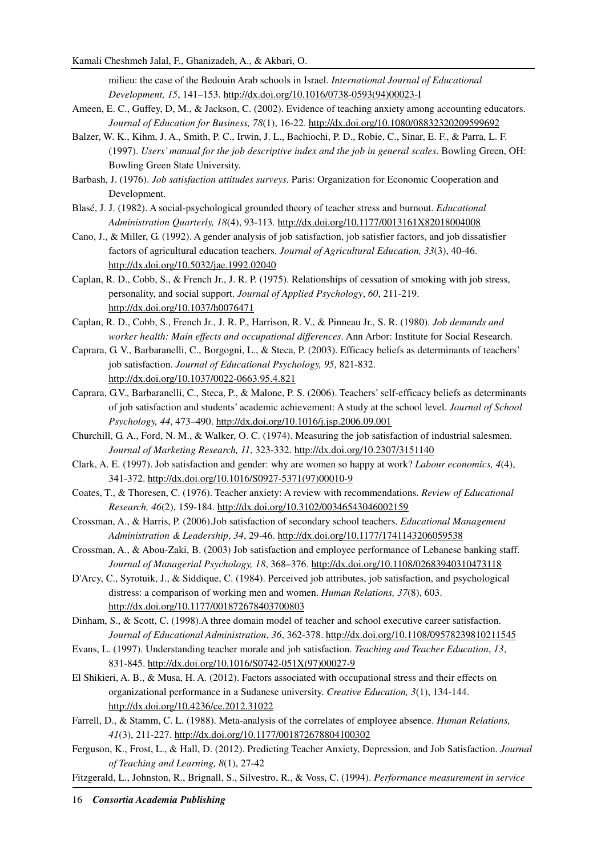milieu: the case of the Bedouin Arab schools in Israel. *International Journal of Educational Development, 15*, 141–153. http://dx.doi.org/10.1016/0738-0593(94)00023-I

- Ameen, E. C., Guffey, D, M., & Jackson, C. (2002). Evidence of teaching anxiety among accounting educators. *Journal of Education for Business, 78*(1), 16-22. http://dx.doi.org/10.1080/08832320209599692
- Balzer, W. K., Kihm, J. A., Smith, P. C., Irwin, J. L., Bachiochi, P. D., Robie, C., Sinar, E. F., & Parra, L. F. (1997). *Users' manual for the job descriptive index and the job in general scales*. Bowling Green, OH: Bowling Green State University.
- Barbash, J. (1976). *Job satisfaction attitudes surveys*. Paris: Organization for Economic Cooperation and Development.
- Blasé, J. J. (1982). A social-psychological grounded theory of teacher stress and burnout. *Educational Administration Quarterly, 18*(4), 93-113*.* http://dx.doi.org/10.1177/0013161X82018004008
- Cano, J., & Miller, G. (1992). A gender analysis of job satisfaction, job satisfier factors, and job dissatisfier factors of agricultural education teachers. *Journal of Agricultural Education, 33*(3), 40-46. http://dx.doi.org/10.5032/jae.1992.02040
- Caplan, R. D., Cobb, S., & French Jr., J. R. P. (1975). Relationships of cessation of smoking with job stress, personality, and social support. *Journal of Applied Psychology*, *60*, 211-219. http://dx.doi.org/10.1037/h0076471
- Caplan, R. D., Cobb, S., French Jr., J. R. P., Harrison, R. V., & Pinneau Jr., S. R. (1980). *Job demands and worker health: Main effects and occupational differences*. Ann Arbor: Institute for Social Research.
- Caprara, G. V., Barbaranelli, C., Borgogni, L., & Steca, P. (2003). Efficacy beliefs as determinants of teachers' job satisfaction. *Journal of Educational Psychology, 95*, 821-832. http://dx.doi.org/10.1037/0022-0663.95.4.821
- Caprara, G.V., Barbaranelli, C., Steca, P., & Malone, P. S. (2006). Teachers' self-efficacy beliefs as determinants of job satisfaction and students' academic achievement: A study at the school level. *Journal of School Psychology, 44*, 473–490. http://dx.doi.org/10.1016/j.jsp.2006.09.001
- Churchill, G. A., Ford, N. M., & Walker, O. C. (1974). Measuring the job satisfaction of industrial salesmen. *Journal of Marketing Research, 11*, 323-332. http://dx.doi.org/10.2307/3151140
- Clark, A. E. (1997). Job satisfaction and gender: why are women so happy at work? *Labour economics, 4*(4), 341-372. http://dx.doi.org/10.1016/S0927-5371(97)00010-9
- Coates, T., & Thoresen, C. (1976). Teacher anxiety: A review with recommendations. *Review of Educational Research, 46*(2), 159-184. http://dx.doi.org/10.3102/00346543046002159
- Crossman, A., & Harris, P. (2006).Job satisfaction of secondary school teachers. *Educational Management Administration & Leadership*, *34*, 29-46. http://dx.doi.org/10.1177/1741143206059538
- Crossman, A., & Abou-Zaki, B. (2003) Job satisfaction and employee performance of Lebanese banking staff. *Journal of Managerial Psychology, 18*, 368–376. http://dx.doi.org/10.1108/02683940310473118
- D'Arcy, C., Syrotuik, J., & Siddique, C. (1984). Perceived job attributes, job satisfaction, and psychological distress: a comparison of working men and women. *Human Relations, 37*(8), 603. http://dx.doi.org/10.1177/001872678403700803
- Dinham, S., & Scott, C. (1998).A three domain model of teacher and school executive career satisfaction. *Journal of Educational Administration*, *36*, 362-378. http://dx.doi.org/10.1108/09578239810211545
- Evans, L. (1997). Understanding teacher morale and job satisfaction. *Teaching and Teacher Education*, *13*, 831-845. http://dx.doi.org/10.1016/S0742-051X(97)00027-9
- El Shikieri, A. B., & Musa, H. A. (2012). Factors associated with occupational stress and their effects on organizational performance in a Sudanese university. *Creative Education, 3*(1), 134-144. http://dx.doi.org/10.4236/ce.2012.31022
- Farrell, D., & Stamm, C. L. (1988). Meta-analysis of the correlates of employee absence. *Human Relations, 41*(3), 211-227. http://dx.doi.org/10.1177/001872678804100302
- Ferguson, K., Frost, L., & Hall, D. (2012). Predicting Teacher Anxiety, Depression, and Job Satisfaction. *Journal of Teaching and Learning, 8*(1), 27-42
- Fitzgerald, L., Johnston, R., Brignall, S., Silvestro, R., & Voss, C. (1994). *Performance measurement in service*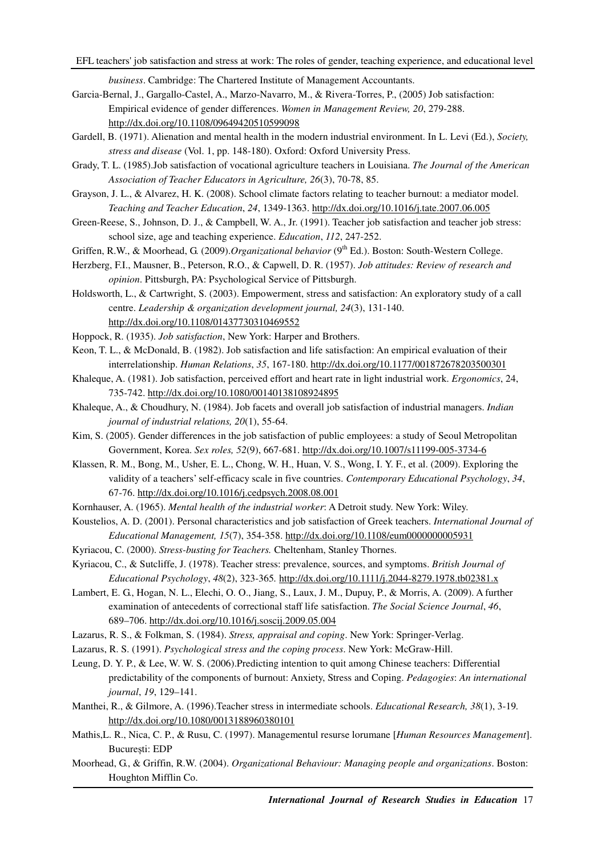*business*. Cambridge: The Chartered Institute of Management Accountants.

- Garcia-Bernal, J., Gargallo-Castel, A., Marzo-Navarro, M., & Rivera-Torres, P., (2005) Job satisfaction: Empirical evidence of gender differences. *Women in Management Review, 20*, 279-288. http://dx.doi.org/10.1108/09649420510599098
- Gardell, B. (1971). Alienation and mental health in the modern industrial environment. In L. Levi (Ed.), *Society, stress and disease* (Vol. 1, pp. 148-180). Oxford: Oxford University Press.
- Grady, T. L. (1985).Job satisfaction of vocational agriculture teachers in Louisiana. *The Journal of the American Association of Teacher Educators in Agriculture, 26*(3), 70-78, 85.
- Grayson, J. L., & Alvarez, H. K. (2008). School climate factors relating to teacher burnout: a mediator model. *Teaching and Teacher Education*, *24*, 1349-1363. http://dx.doi.org/10.1016/j.tate.2007.06.005
- Green-Reese, S., Johnson, D. J., & Campbell, W. A., Jr. (1991). Teacher job satisfaction and teacher job stress: school size, age and teaching experience. *Education*, *112*, 247-252.

Griffen, R.W., & Moorhead, G. (2009).*Organizational behavior* (9<sup>th</sup> Ed.). Boston: South-Western College.

- Herzberg, F.I., Mausner, B., Peterson, R.O., & Capwell, D. R. (1957). *Job attitudes: Review of research and opinion*. Pittsburgh, PA: Psychological Service of Pittsburgh.
- Holdsworth, L., & Cartwright, S. (2003). Empowerment, stress and satisfaction: An exploratory study of a call centre. *Leadership & organization development journal, 24*(3), 131-140. http://dx.doi.org/10.1108/01437730310469552
- Hoppock, R. (1935). *Job satisfaction*, New York: Harper and Brothers.
- Keon, T. L., & McDonald, B. (1982). Job satisfaction and life satisfaction: An empirical evaluation of their interrelationship. *Human Relations*, *35*, 167-180. http://dx.doi.org/10.1177/001872678203500301
- Khaleque, A. (1981). Job satisfaction, perceived effort and heart rate in light industrial work. *Ergonomics*, 24, 735-742. http://dx.doi.org/10.1080/00140138108924895
- Khaleque, A., & Choudhury, N. (1984). Job facets and overall job satisfaction of industrial managers. *Indian journal of industrial relations, 20*(1), 55-64.
- Kim, S. (2005). Gender differences in the job satisfaction of public employees: a study of Seoul Metropolitan Government, Korea. *Sex roles, 52*(9), 667-681. http://dx.doi.org/10.1007/s11199-005-3734-6
- Klassen, R. M., Bong, M., Usher, E. L., Chong, W. H., Huan, V. S., Wong, I. Y. F., et al. (2009). Exploring the validity of a teachers' self-efficacy scale in five countries. *Contemporary Educational Psychology*, *34*, 67-76. http://dx.doi.org/10.1016/j.cedpsych.2008.08.001

Kornhauser, A. (1965). *Mental health of the industrial worker*: A Detroit study. New York: Wiley.

- Koustelios, A. D. (2001). Personal characteristics and job satisfaction of Greek teachers. *International Journal of Educational Management, 15*(7), 354-358. http://dx.doi.org/10.1108/eum0000000005931
- Kyriacou, C. (2000). *Stress-busting for Teachers.* Cheltenham, Stanley Thornes.
- Kyriacou, C., & Sutcliffe, J. (1978). Teacher stress: prevalence, sources, and symptoms. *British Journal of Educational Psychology*, *48*(2), 323-365*.* http://dx.doi.org/10.1111/j.2044-8279.1978.tb02381.x
- Lambert, E. G., Hogan, N. L., Elechi, O. O., Jiang, S., Laux, J. M., Dupuy, P., & Morris, A. (2009). A further examination of antecedents of correctional staff life satisfaction. *The Social Science Journal*, *46*, 689–706. http://dx.doi.org/10.1016/j.soscij.2009.05.004
- Lazarus, R. S., & Folkman, S. (1984). *Stress, appraisal and coping*. New York: Springer-Verlag.
- Lazarus, R. S. (1991). *Psychological stress and the coping process*. New York: McGraw-Hill.
- Leung, D. Y. P., & Lee, W. W. S. (2006).Predicting intention to quit among Chinese teachers: Differential predictability of the components of burnout: Anxiety, Stress and Coping. *Pedagogies*: *An international journal*, *19*, 129–141.
- Manthei, R., & Gilmore, A. (1996).Teacher stress in intermediate schools. *Educational Research, 38*(1), 3-19*.* http://dx.doi.org/10.1080/0013188960380101
- Mathis,L. R., Nica, C. P., & Rusu, C. (1997). Managementul resurse lorumane [*Human Resources Management*]. București: EDP
- Moorhead, G., & Griffin, R.W. (2004). *Organizational Behaviour: Managing people and organizations*. Boston: Houghton Mifflin Co.